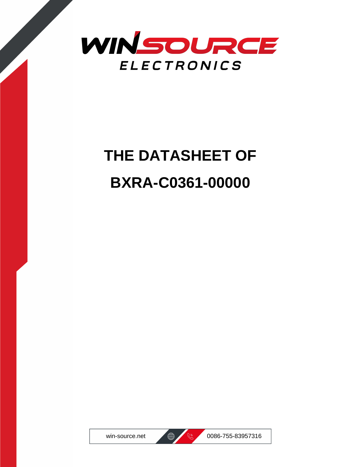

# **THE DATASHEET OF BXRA-C0361-00000**



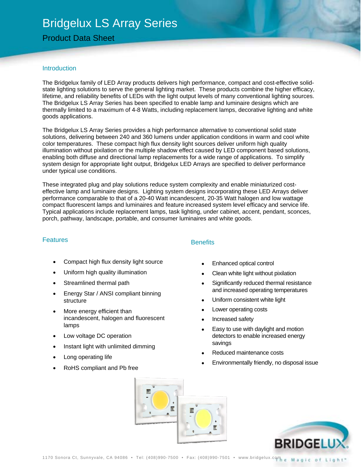## Bridgelux LS Array Series

## Product Data Sheet

## **Introduction**

The Bridgelux family of LED Array products delivers high performance, compact and cost-effective solidstate lighting solutions to serve the general lighting market. These products combine the higher efficacy, lifetime, and reliability benefits of LEDs with the light output levels of many conventional lighting sources. The Bridgelux LS Array Series has been specified to enable lamp and luminaire designs which are thermally limited to a maximum of 4-8 Watts, including replacement lamps, decorative lighting and white goods applications.

The Bridgelux LS Array Series provides a high performance alternative to conventional solid state solutions, delivering between 240 and 360 lumens under application conditions in warm and cool white color temperatures. These compact high flux density light sources deliver uniform high quality illumination without pixilation or the multiple shadow effect caused by LED component based solutions, enabling both diffuse and directional lamp replacements for a wide range of applications. To simplify system design for appropriate light output, Bridgelux LED Arrays are specified to deliver performance under typical use conditions.

These integrated plug and play solutions reduce system complexity and enable miniaturized costeffective lamp and luminaire designs. Lighting system designs incorporating these LED Arrays deliver performance comparable to that of a 20-40 Watt incandescent, 20-35 Watt halogen and low wattage compact fluorescent lamps and luminaires and feature increased system level efficacy and service life. Typical applications include replacement lamps, task lighting, under cabinet, accent, pendant, sconces, porch, pathway, landscape, portable, and consumer luminaires and white goods.

#### **Features**

- Compact high flux density light source
- Uniform high quality illumination
- Streamlined thermal path
- Energy Star / ANSI compliant binning structure
- More energy efficient than incandescent, halogen and fluorescent lamps
- Low voltage DC operation
- Instant light with unlimited dimming
- Long operating life
- RoHS compliant and Pb free

## **Benefits**

- Enhanced optical control
- Clean white light without pixilation
- Significantly reduced thermal resistance and increased operating temperatures
- Uniform consistent white light
- Lower operating costs
- Increased safety
- Easy to use with daylight and motion detectors to enable increased energy savings
- Reduced maintenance costs
- Environmentally friendly, no disposal issue



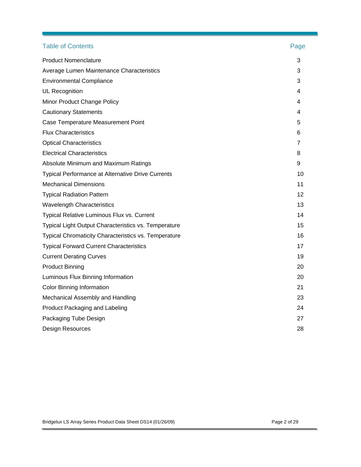| <b>Table of Contents</b>                                    | Page |
|-------------------------------------------------------------|------|
| <b>Product Nomenclature</b>                                 | 3    |
| Average Lumen Maintenance Characteristics                   | 3    |
| <b>Environmental Compliance</b>                             | 3    |
| UL Recognition                                              | 4    |
| Minor Product Change Policy                                 | 4    |
| <b>Cautionary Statements</b>                                | 4    |
| Case Temperature Measurement Point                          | 5    |
| <b>Flux Characteristics</b>                                 | 6    |
| <b>Optical Characteristics</b>                              | 7    |
| <b>Electrical Characteristics</b>                           | 8    |
| Absolute Minimum and Maximum Ratings                        | 9    |
| <b>Typical Performance at Alternative Drive Currents</b>    | 10   |
| <b>Mechanical Dimensions</b>                                | 11   |
| <b>Typical Radiation Pattern</b>                            | 12   |
| <b>Wavelength Characteristics</b>                           | 13   |
| Typical Relative Luminous Flux vs. Current                  | 14   |
| <b>Typical Light Output Characteristics vs. Temperature</b> | 15   |
| <b>Typical Chromaticity Characteristics vs. Temperature</b> | 16   |
| <b>Typical Forward Current Characteristics</b>              | 17   |
| <b>Current Derating Curves</b>                              | 19   |
| <b>Product Binning</b>                                      | 20   |
| Luminous Flux Binning Information                           | 20   |
| <b>Color Binning Information</b>                            | 21   |
| Mechanical Assembly and Handling                            | 23   |
| Product Packaging and Labeling                              | 24   |
| Packaging Tube Design                                       | 27   |
| Design Resources                                            | 28   |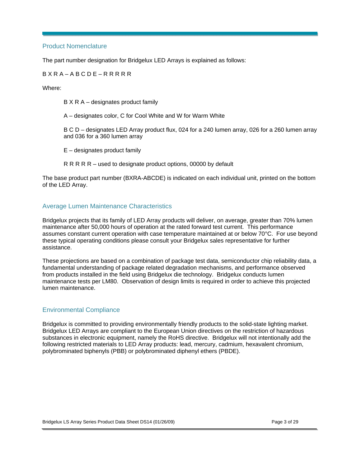## Product Nomenclature

The part number designation for Bridgelux LED Arrays is explained as follows:

#### B X R A – A B C D E – R R R R R

Where:

B X R A – designates product family

A – designates color, C for Cool White and W for Warm White

B C D – designates LED Array product flux, 024 for a 240 lumen array, 026 for a 260 lumen array and 036 for a 360 lumen array

E – designates product family

R R R R R – used to designate product options, 00000 by default

The base product part number (BXRA-ABCDE) is indicated on each individual unit, printed on the bottom of the LED Array.

## Average Lumen Maintenance Characteristics

Bridgelux projects that its family of LED Array products will deliver, on average, greater than 70% lumen maintenance after 50,000 hours of operation at the rated forward test current. This performance assumes constant current operation with case temperature maintained at or below 70°C. For use beyond these typical operating conditions please consult your Bridgelux sales representative for further assistance.

These projections are based on a combination of package test data, semiconductor chip reliability data, a fundamental understanding of package related degradation mechanisms, and performance observed from products installed in the field using Bridgelux die technology. Bridgelux conducts lumen maintenance tests per LM80. Observation of design limits is required in order to achieve this projected lumen maintenance.

## Environmental Compliance

Bridgelux is committed to providing environmentally friendly products to the solid-state lighting market. Bridgelux LED Arrays are compliant to the European Union directives on the restriction of hazardous substances in electronic equipment, namely the RoHS directive. Bridgelux will not intentionally add the following restricted materials to LED Array products: lead, mercury, cadmium, hexavalent chromium, polybrominated biphenyls (PBB) or polybrominated diphenyl ethers (PBDE).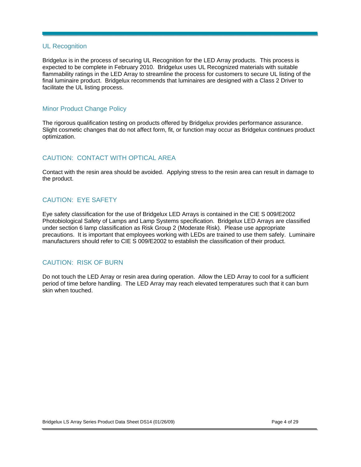#### UL Recognition

Bridgelux is in the process of securing UL Recognition for the LED Array products. This process is expected to be complete in February 2010. Bridgelux uses UL Recognized materials with suitable flammability ratings in the LED Array to streamline the process for customers to secure UL listing of the final luminaire product. Bridgelux recommends that luminaires are designed with a Class 2 Driver to facilitate the UL listing process.

## Minor Product Change Policy

The rigorous qualification testing on products offered by Bridgelux provides performance assurance. Slight cosmetic changes that do not affect form, fit, or function may occur as Bridgelux continues product optimization.

## CAUTION: CONTACT WITH OPTICAL AREA

Contact with the resin area should be avoided. Applying stress to the resin area can result in damage to the product.

## CAUTION: EYE SAFETY

Eye safety classification for the use of Bridgelux LED Arrays is contained in the CIE S 009/E2002 Photobiological Safety of Lamps and Lamp Systems specification. Bridgelux LED Arrays are classified under section 6 lamp classification as Risk Group 2 (Moderate Risk). Please use appropriate precautions. It is important that employees working with LEDs are trained to use them safely. Luminaire manufacturers should refer to CIE S 009/E2002 to establish the classification of their product.

## CAUTION: RISK OF BURN

Do not touch the LED Array or resin area during operation. Allow the LED Array to cool for a sufficient period of time before handling. The LED Array may reach elevated temperatures such that it can burn skin when touched.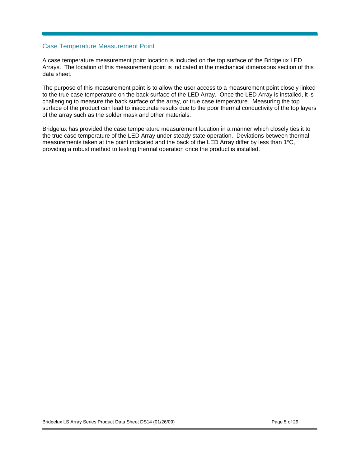### Case Temperature Measurement Point

A case temperature measurement point location is included on the top surface of the Bridgelux LED Arrays. The location of this measurement point is indicated in the mechanical dimensions section of this data sheet.

The purpose of this measurement point is to allow the user access to a measurement point closely linked to the true case temperature on the back surface of the LED Array. Once the LED Array is installed, it is challenging to measure the back surface of the array, or true case temperature. Measuring the top surface of the product can lead to inaccurate results due to the poor thermal conductivity of the top layers of the array such as the solder mask and other materials.

Bridgelux has provided the case temperature measurement location in a manner which closely ties it to the true case temperature of the LED Array under steady state operation. Deviations between thermal measurements taken at the point indicated and the back of the LED Array differ by less than 1°C, providing a robust method to testing thermal operation once the product is installed.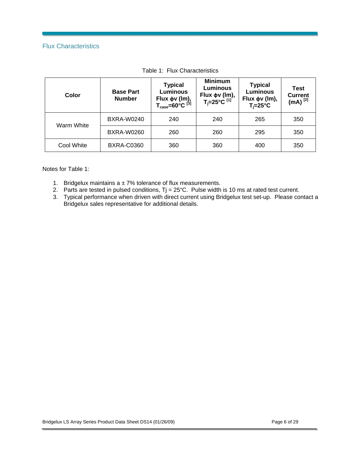## Flux Characteristics

| Color      | <b>Base Part</b><br><b>Number</b> | <b>Minimum</b><br><b>Typical</b><br><b>Luminous</b><br>Luminous<br>Flux φν (lm),<br>T <sub>i</sub> =25°C <sup>[1]</sup><br>Flux $\phi$ v (lm),<br>T <sub>case</sub> =60°C <sup>[3]</sup> |     | <b>Typical</b><br><b>Luminous</b><br>Flux φν (Im),<br>$T_i = 25^{\circ}C$ | Test<br><b>Current</b><br>$(mA)^{[2]}$ |
|------------|-----------------------------------|------------------------------------------------------------------------------------------------------------------------------------------------------------------------------------------|-----|---------------------------------------------------------------------------|----------------------------------------|
| Warm White | <b>BXRA-W0240</b>                 | 240                                                                                                                                                                                      | 240 | 265                                                                       | 350                                    |
|            | <b>BXRA-W0260</b>                 | 260                                                                                                                                                                                      | 260 | 295                                                                       | 350                                    |
| Cool White | <b>BXRA-C0360</b>                 | 360                                                                                                                                                                                      | 360 | 400                                                                       | 350                                    |

Notes for Table 1:

- 1. Bridgelux maintains  $a \pm 7$ % tolerance of flux measurements.
- 2. Parts are tested in pulsed conditions,  $Tj = 25^{\circ}C$ . Pulse width is 10 ms at rated test current.
- 3. Typical performance when driven with direct current using Bridgelux test set-up. Please contact a Bridgelux sales representative for additional details.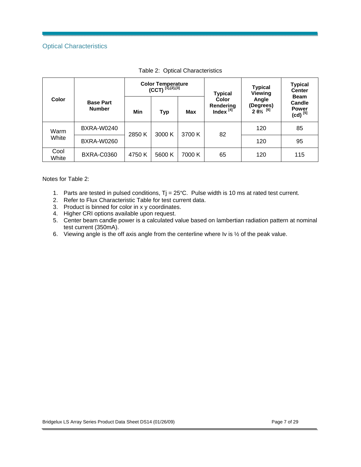## Optical Characteristics

|               |                                   |        | <b>Color Temperature</b><br>$(CCT)^{{[1],[2],[3]}}$ |        | <b>Typical</b>                              | <b>Typical</b><br><b>Viewing</b>                     | <b>Typical</b><br><b>Center</b><br><b>Beam</b><br>Candle<br><b>Power</b><br>$(cd)^{[5]}$ |  |
|---------------|-----------------------------------|--------|-----------------------------------------------------|--------|---------------------------------------------|------------------------------------------------------|------------------------------------------------------------------------------------------|--|
| Color         | <b>Base Part</b><br><b>Number</b> | Min    | <b>Typ</b>                                          | Max    | Color<br><b>Rendering</b><br>Index $^{[4]}$ | Angle<br>(Degrees)<br>$2 \frac{6}{2}$ <sup>[6]</sup> |                                                                                          |  |
| Warm          | <b>BXRA-W0240</b>                 |        | 3000 K                                              | 3700 K | 82                                          | 120                                                  | 85                                                                                       |  |
| White         | <b>BXRA-W0260</b>                 | 2850 K |                                                     |        |                                             | 120                                                  | 95                                                                                       |  |
| Cool<br>White | <b>BXRA-C0360</b>                 | 4750 K | 5600 K                                              | 7000 K | 65                                          | 120                                                  | 115                                                                                      |  |

| Table 2: Optical Characteristics |
|----------------------------------|
|                                  |

Notes for Table 2:

- 1. Parts are tested in pulsed conditions, Tj = 25°C. Pulse width is 10 ms at rated test current.
- 2. Refer to Flux Characteristic Table for test current data.
- 3. Product is binned for color in x y coordinates.
- 4. Higher CRI options available upon request.
- 5. Center beam candle power is a calculated value based on lambertian radiation pattern at nominal test current (350mA).
- 6. Viewing angle is the off axis angle from the centerline where Iv is ½ of the peak value.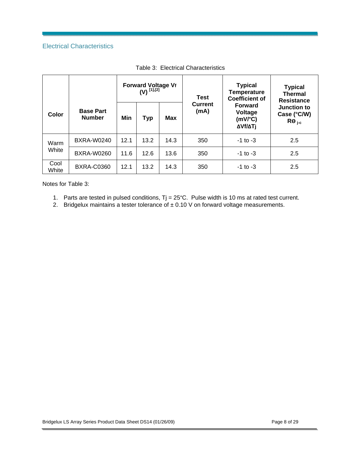## Electrical Characteristics

|               |                                           |      | Forward Voltage Vf<br>(V) [1],[2] |              | <b>Test</b>            | <b>Typical</b><br><b>Temperature</b><br><b>Coefficient of</b> | <b>Typical</b><br><b>Thermal</b><br><b>Resistance</b><br>Junction to<br>Case (°C/W)<br>$\mathsf{R}\Theta_{\mathsf{ic}}$ |  |
|---------------|-------------------------------------------|------|-----------------------------------|--------------|------------------------|---------------------------------------------------------------|-------------------------------------------------------------------------------------------------------------------------|--|
| Color         | <b>Base Part</b><br><b>Number</b>         | Min  | <b>Typ</b>                        | Max          | <b>Current</b><br>(mA) | <b>Forward</b><br>Voltage<br>(mV/°C)<br>ΔVf/ΔTj               |                                                                                                                         |  |
| Warm          | <b>BXRA-W0240</b>                         | 12.1 | 13.2                              | 14.3         | 350                    | $-1$ to $-3$                                                  | 2.5                                                                                                                     |  |
| White         | BXRA-W0260<br>11.6<br>12.6<br>13.6<br>350 |      |                                   | $-1$ to $-3$ | 2.5                    |                                                               |                                                                                                                         |  |
| Cool<br>White | <b>BXRA-C0360</b>                         | 12.1 | 13.2                              | 14.3         | 350                    | $-1$ to $-3$                                                  | 2.5                                                                                                                     |  |

Table 3: Electrical Characteristics

Notes for Table 3:

- 1. Parts are tested in pulsed conditions, Tj = 25°C. Pulse width is 10 ms at rated test current.
- 2. Bridgelux maintains a tester tolerance of  $\pm$  0.10 V on forward voltage measurements.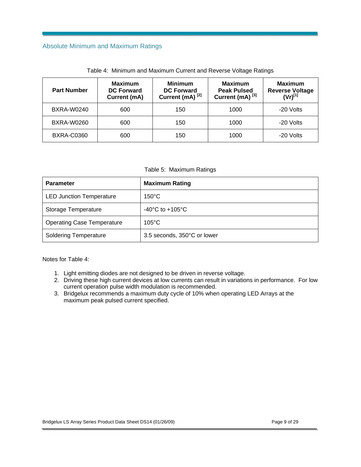## Absolute Minimum and Maximum Ratings

| <b>Part Number</b> | <b>Maximum</b><br><b>DC Forward</b><br>Current (mA) |     | <b>Maximum</b><br><b>Peak Pulsed</b><br>Current (mA) <sup>[3]</sup> | <b>Maximum</b><br><b>Reverse Voltage</b><br>$(Vr)^{[1]}$ |
|--------------------|-----------------------------------------------------|-----|---------------------------------------------------------------------|----------------------------------------------------------|
| <b>BXRA-W0240</b>  | 600                                                 | 150 | 1000                                                                | -20 Volts                                                |
| <b>BXRA-W0260</b>  | 600                                                 | 150 | 1000                                                                | -20 Volts                                                |
| <b>BXRA-C0360</b>  | 600                                                 | 150 | 1000                                                                | -20 Volts                                                |

Table 4: Minimum and Maximum Current and Reverse Voltage Ratings

Table 5: Maximum Ratings

| <b>Parameter</b>                  | <b>Maximum Rating</b>               |
|-----------------------------------|-------------------------------------|
| <b>LED Junction Temperature</b>   | $150^{\circ}$ C                     |
| Storage Temperature               | $-40^{\circ}$ C to $+105^{\circ}$ C |
| <b>Operating Case Temperature</b> | $105^{\circ}$ C                     |
| <b>Soldering Temperature</b>      | 3.5 seconds, 350°C or lower         |

Notes for Table 4:

- 1. Light emitting diodes are not designed to be driven in reverse voltage.
- 2. Driving these high current devices at low currents can result in variations in performance. For low current operation pulse width modulation is recommended.
- 3. Bridgelux recommends a maximum duty cycle of 10% when operating LED Arrays at the maximum peak pulsed current specified.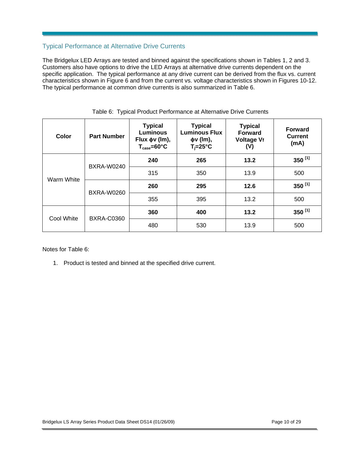## Typical Performance at Alternative Drive Currents

The Bridgelux LED Arrays are tested and binned against the specifications shown in Tables 1, 2 and 3. Customers also have options to drive the LED Arrays at alternative drive currents dependent on the specific application. The typical performance at any drive current can be derived from the flux vs. current characteristics shown in Figure 6 and from the current vs. voltage characteristics shown in Figures 10-12. The typical performance at common drive currents is also summarized in Table 6.

| Color      | <b>Part Number</b> | <b>Typical</b><br><b>Luminous</b><br>Flux $\phi$ v (Im),<br>$T_{\text{case}} = 60^{\circ}C$ | <b>Typical</b><br><b>Luminous Flux</b><br>$\phi$ v (lm),<br>$T_i = 25^\circ C$ | <b>Typical</b><br><b>Forward</b><br><b>Voltage Vf</b><br>(V) | <b>Forward</b><br><b>Current</b><br>(mA) |
|------------|--------------------|---------------------------------------------------------------------------------------------|--------------------------------------------------------------------------------|--------------------------------------------------------------|------------------------------------------|
| Warm White | <b>BXRA-W0240</b>  | 240                                                                                         | 265                                                                            | 13.2                                                         | 350 $^{[1]}$                             |
|            |                    | 315                                                                                         | 350                                                                            | 13.9                                                         | 500                                      |
|            | <b>BXRA-W0260</b>  | 260                                                                                         | 295                                                                            | 12.6                                                         | 350 $^{[1]}$                             |
|            |                    | 355                                                                                         | 395                                                                            | 13.2                                                         | 500                                      |
| Cool White | <b>BXRA-C0360</b>  | 360                                                                                         | 400                                                                            | 13.2                                                         | 350 [1]                                  |
|            |                    | 480                                                                                         | 530                                                                            | 13.9                                                         | 500                                      |

#### Table 6: Typical Product Performance at Alternative Drive Currents

Notes for Table 6:

1. Product is tested and binned at the specified drive current.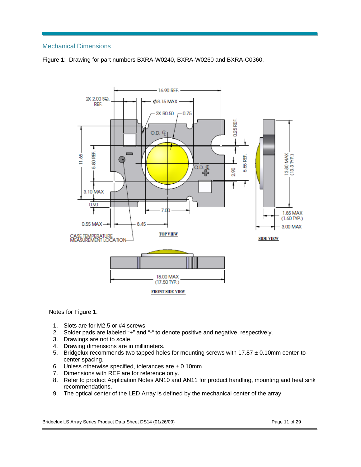## Mechanical Dimensions





Notes for Figure 1:

- 1. Slots are for M2.5 or #4 screws.
- 2. Solder pads are labeled "+" and "-" to denote positive and negative, respectively.
- 3. Drawings are not to scale.
- 4. Drawing dimensions are in millimeters.
- 5. Bridgelux recommends two tapped holes for mounting screws with  $17.87 \pm 0.10$ mm center-tocenter spacing.
- 6. Unless otherwise specified, tolerances are  $\pm$  0.10mm.
- 7. Dimensions with REF are for reference only.
- 8. Refer to product Application Notes AN10 and AN11 for product handling, mounting and heat sink recommendations.
- 9. The optical center of the LED Array is defined by the mechanical center of the array.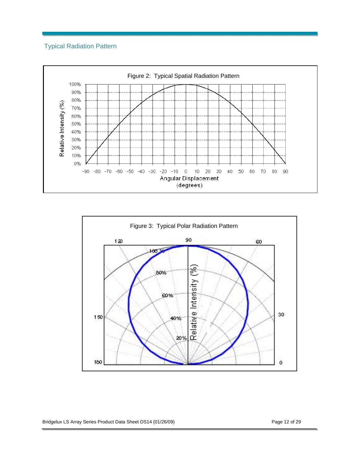## Typical Radiation Pattern





Bridgelux LS Array Series Product Data Sheet DS14 (01/26/09) Page 12 of 29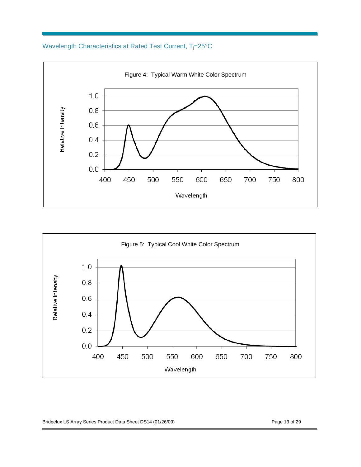## Wavelength Characteristics at Rated Test Current, T<sub>j</sub>=25°C





Bridgelux LS Array Series Product Data Sheet DS14 (01/26/09) Page 13 of 29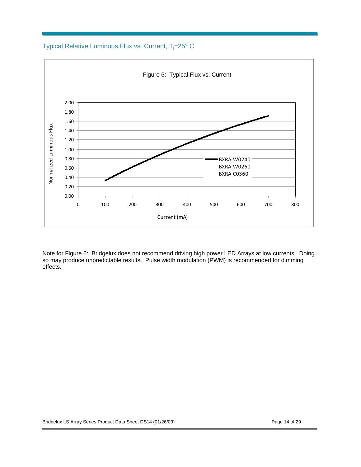Typical Relative Luminous Flux vs. Current, T<sub>j</sub>=25° C



Note for Figure 6: Bridgelux does not recommend driving high power LED Arrays at low currents. Doing so may produce unpredictable results. Pulse width modulation (PWM) is recommended for dimming effects.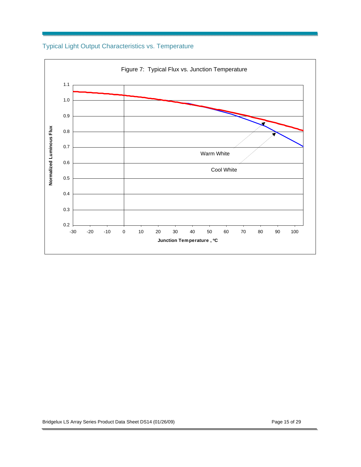

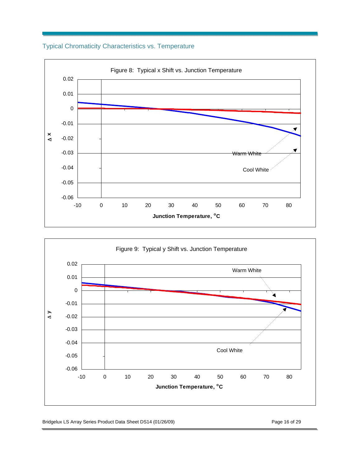## Typical Chromaticity Characteristics vs. Temperature





Bridgelux LS Array Series Product Data Sheet DS14 (01/26/09) Page 16 of 29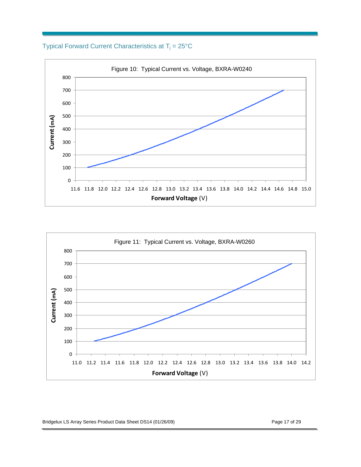Typical Forward Current Characteristics at  $T_j = 25^{\circ}C$ 





Bridgelux LS Array Series Product Data Sheet DS14 (01/26/09) Page 17 of 29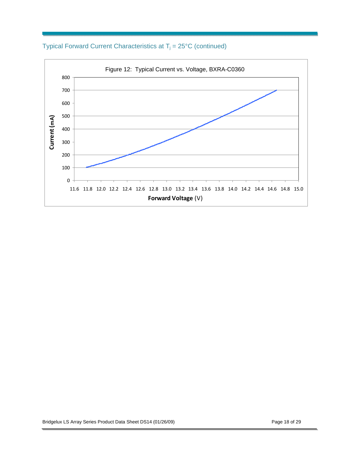Typical Forward Current Characteristics at  $T_j = 25^{\circ}C$  (continued)

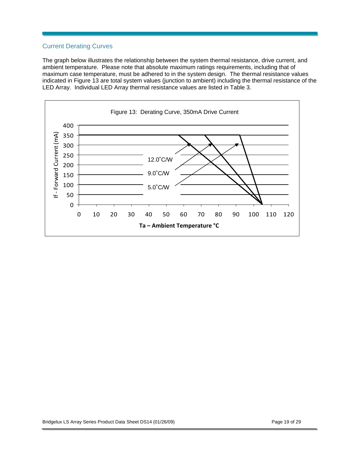## Current Derating Curves

The graph below illustrates the relationship between the system thermal resistance, drive current, and ambient temperature. Please note that absolute maximum ratings requirements, including that of maximum case temperature, must be adhered to in the system design. The thermal resistance values indicated in Figure 13 are total system values (junction to ambient) including the thermal resistance of the LED Array. Individual LED Array thermal resistance values are listed in Table 3.

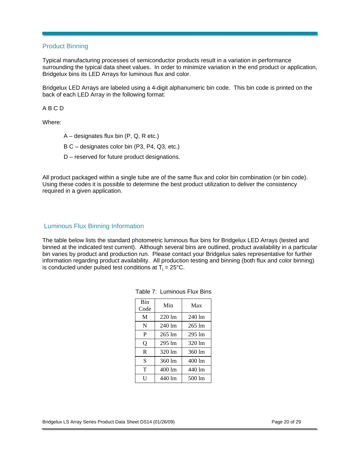## Product Binning

Typical manufacturing processes of semiconductor products result in a variation in performance surrounding the typical data sheet values. In order to minimize variation in the end product or application, Bridgelux bins its LED Arrays for luminous flux and color.

Bridgelux LED Arrays are labeled using a 4-digit alphanumeric bin code. This bin code is printed on the back of each LED Array in the following format:

#### A B C D

Where:

- A designates flux bin (P, Q, R etc.)
- B C designates color bin (P3, P4, Q3, etc.)
- D reserved for future product designations.

All product packaged within a single tube are of the same flux and color bin combination (or bin code). Using these codes it is possible to determine the best product utilization to deliver the consistency required in a given application.

## Luminous Flux Binning Information

The table below lists the standard photometric luminous flux bins for Bridgelux LED Arrays (tested and binned at the indicated test current). Although several bins are outlined, product availability in a particular bin varies by product and production run. Please contact your Bridgelux sales representative for further information regarding product availability. All production testing and binning (both flux and color binning) is conducted under pulsed test conditions at  $T_i = 25^{\circ}C$ .

| Bin<br>Code | Min              | Max              |
|-------------|------------------|------------------|
| M           | 220 lm           | $240 \text{ lm}$ |
| N           | 240 lm           | $265 \text{ lm}$ |
| P           | 265 lm           | 295 lm           |
| Q           | $295 \text{ lm}$ | $320 \text{ lm}$ |
| R           | 320 lm           | 360 lm           |
| S           | 360 lm           | 400 lm           |
| T           | 400 lm           | 440 lm           |
| U           | 440 lm           | 500 lm           |
|             |                  |                  |

|  | Table 7: Luminous Flux Bins |
|--|-----------------------------|
|--|-----------------------------|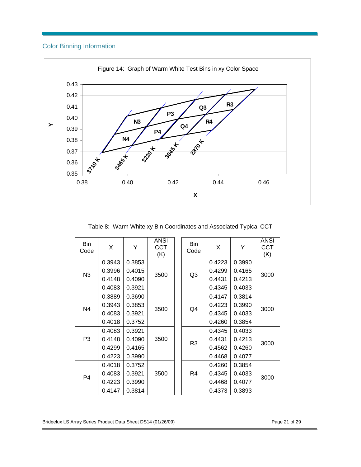## Color Binning Information



Table 8: Warm White xy Bin Coordinates and Associated Typical CCT

| <b>Bin</b><br>Code | X      | Y      | ANSI<br><b>CCT</b><br>(K) |    | Bin<br>Code    | X      | Y      | ANSI<br><b>CCT</b><br>(K) |
|--------------------|--------|--------|---------------------------|----|----------------|--------|--------|---------------------------|
|                    | 0.3943 | 0.3853 |                           |    |                | 0.4223 | 0.3990 |                           |
| N3                 | 0.3996 | 0.4015 | 3500                      | Q3 | 0.4299         | 0.4165 | 3000   |                           |
|                    | 0.4148 | 0.4090 |                           |    | 0.4431         | 0.4213 |        |                           |
|                    | 0.4083 | 0.3921 |                           |    | 0.4345         | 0.4033 |        |                           |
|                    | 0.3889 | 0.3690 | 3500                      |    |                | 0.4147 | 0.3814 |                           |
| N <sub>4</sub>     | 0.3943 | 0.3853 |                           |    | Q4             | 0.4223 | 0.3990 | 3000                      |
|                    | 0.4083 | 0.3921 |                           |    | 0.4345         | 0.4033 |        |                           |
|                    | 0.4018 | 0.3752 |                           |    |                | 0.4260 | 0.3854 |                           |
|                    | 0.4083 | 0.3921 |                           |    |                | 0.4345 | 0.4033 |                           |
| P <sub>3</sub>     | 0.4148 | 0.4090 | 3500                      |    | R <sub>3</sub> | 0.4431 | 0.4213 | 3000                      |
|                    | 0.4299 | 0.4165 |                           |    |                | 0.4562 | 0.4260 |                           |
|                    | 0.4223 | 0.3990 |                           |    |                | 0.4468 | 0.4077 |                           |
|                    | 0.4018 | 0.3752 |                           |    |                | 0.4260 | 0.3854 |                           |
| P <sub>4</sub>     | 0.4083 | 0.3921 | 3500                      |    | R4             | 0.4345 | 0.4033 | 3000                      |
|                    | 0.4223 | 0.3990 |                           |    |                | 0.4468 | 0.4077 |                           |
|                    | 0.4147 | 0.3814 |                           |    |                | 0.4373 | 0.3893 |                           |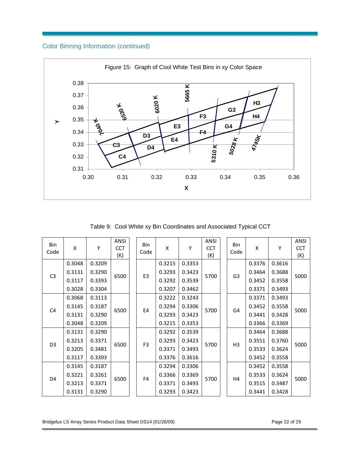## Color Binning Information (continued)



Table 9: Cool White xy Bin Coordinates and Associated Typical CCT

| Bin<br>Code    | X      | Y      | ANSI<br><b>CCT</b><br>(K) |                | <b>Bin</b><br>Code | X      | Y      | <b>ANSI</b><br><b>CCT</b><br>(K) |                | Bin<br>Code    | X      | Y      | <b>ANSI</b><br><b>CCT</b><br>(K) |
|----------------|--------|--------|---------------------------|----------------|--------------------|--------|--------|----------------------------------|----------------|----------------|--------|--------|----------------------------------|
| C <sub>3</sub> | 0.3048 | 0.3209 | 6500                      |                | 0.3215             | 0.3353 |        |                                  |                | 0.3376         | 0.3616 |        |                                  |
|                | 0.3131 | 0.3290 |                           |                | E <sub>3</sub>     | 0.3293 | 0.3423 | 5700                             |                | G <sub>3</sub> | 0.3464 | 0.3688 | 5000                             |
|                | 0.3117 | 0.3393 |                           |                |                    | 0.3292 | 0.3539 |                                  |                |                | 0.3452 | 0.3558 |                                  |
|                | 0.3028 | 0.3304 |                           |                |                    | 0.3207 | 0.3462 |                                  |                |                | 0.3371 | 0.3493 |                                  |
| C <sub>4</sub> | 0.3068 | 0.3113 | 6500                      |                | E4                 | 0.3222 | 0.3243 | 5700                             |                |                | 0.3371 | 0.3493 | 5000                             |
|                | 0.3145 | 0.3187 |                           |                |                    | 0.3294 | 0.3306 |                                  |                | G4             | 0.3452 | 0.3558 |                                  |
|                | 0.3131 | 0.3290 |                           |                |                    | 0.3293 | 0.3423 |                                  |                |                | 0.3441 | 0.3428 |                                  |
|                | 0.3048 | 0.3209 |                           |                |                    | 0.3215 | 0.3353 |                                  |                |                | 0.3366 | 0.3369 |                                  |
| D <sub>3</sub> | 0.3131 | 0.3290 | 6500                      | F <sub>3</sub> | 0.3292             | 0.3539 | 5700   |                                  | H <sub>3</sub> | 0.3464         | 0.3688 | 5000   |                                  |
|                | 0.3213 | 0.3371 |                           |                | 0.3293             | 0.3423 |        |                                  |                | 0.3551         | 0.3760 |        |                                  |
|                | 0.3205 | 0.3481 |                           |                | 0.3371             | 0.3493 |        |                                  |                | 0.3533         | 0.3624 |        |                                  |
|                | 0.3117 | 0.3393 |                           |                |                    | 0.3376 | 0.3616 |                                  |                |                | 0.3452 | 0.3558 |                                  |
| D <sub>4</sub> | 0.3145 | 0.3187 | 6500                      | F <sub>4</sub> | 0.3294             | 0.3306 |        |                                  | Η4             | 0.3452         | 0.3558 | 5000   |                                  |
|                | 0.3221 | 0.3261 |                           |                | 0.3366             | 0.3369 | 5700   |                                  |                | 0.3533         | 0.3624 |        |                                  |
|                | 0.3213 | 0.3371 |                           |                | 0.3371             | 0.3493 |        |                                  |                | 0.3515         | 0.3487 |        |                                  |
|                | 0.3131 | 0.3290 |                           |                | 0.3293             | 0.3423 |        |                                  |                | 0.3441         | 0.3428 |        |                                  |

Bridgelux LS Array Series Product Data Sheet DS14 (01/26/09) Page 22 of 29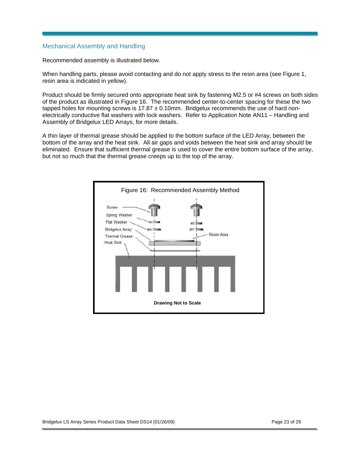## Mechanical Assembly and Handling

Recommended assembly is illustrated below.

When handling parts, please avoid contacting and do not apply stress to the resin area (see Figure 1, resin area is indicated in yellow).

Product should be firmly secured onto appropriate heat sink by fastening M2.5 or #4 screws on both sides of the product as illustrated in Figure 16. The recommended center-to-center spacing for these the two tapped holes for mounting screws is  $17.87 \pm 0.10$  mm. Bridgelux recommends the use of hard nonelectrically conductive flat washers with lock washers. Refer to Application Note AN11 – Handling and Assembly of Bridgelux LED Arrays, for more details.

A thin layer of thermal grease should be applied to the bottom surface of the LED Array, between the bottom of the array and the heat sink. All air gaps and voids between the heat sink and array should be eliminated. Ensure that sufficient thermal grease is used to cover the entire bottom surface of the array, but not so much that the thermal grease creeps up to the top of the array.

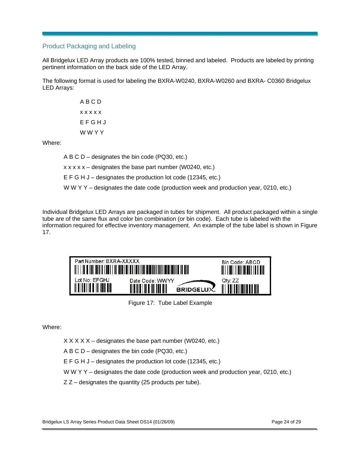## Product Packaging and Labeling

All Bridgelux LED Array products are 100% tested, binned and labeled. Products are labeled by printing pertinent information on the back side of the LED Array.

The following format is used for labeling the BXRA-W0240, BXRA-W0260 and BXRA- C0360 Bridgelux LED Arrays:

> A B C D x x x x x E F G H J W W Y Y

Where:

A B C D – designates the bin code (PQ30, etc.)

 $x \times x \times x$  – designates the base part number (W0240, etc.)

E F G H J – designates the production lot code (12345, etc.)

W W Y Y – designates the date code (production week and production year, 0210, etc.)

Individual Bridgelux LED Arrays are packaged in tubes for shipment. All product packaged within a single tube are of the same flux and color bin combination (or bin code). Each tube is labeled with the information required for effective inventory management. An example of the tube label is shown in Figure 17.

| Part Number: BXRA-XXXXX                   |                               | Bin Code: ABCD<br><u> Ali I ali i ali ali ali ili ali </u> |
|-------------------------------------------|-------------------------------|------------------------------------------------------------|
| Lot No: EFGHJ<br><u> Alaman III dheer</u> | Date Code: WWYY<br>BRIDGELUX. | Qtv: ZZ                                                    |

Figure 17: Tube Label Example

Where:

 $X$  X X  $X$  – designates the base part number (W0240, etc.)

A B C D – designates the bin code (PQ30, etc.)

E F G H J – designates the production lot code (12345, etc.)

W W Y Y – designates the date code (production week and production year, 0210, etc.)

 $Z Z -$  designates the quantity (25 products per tube).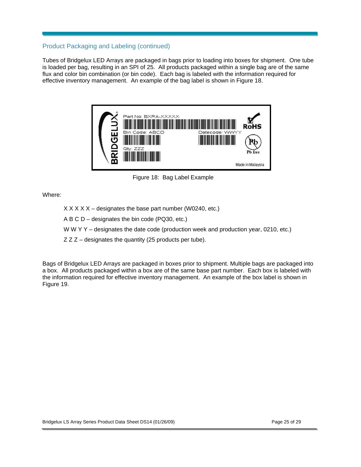## Product Packaging and Labeling (continued)

Tubes of Bridgelux LED Arrays are packaged in bags prior to loading into boxes for shipment. One tube is loaded per bag, resulting in an SPI of 25. All products packaged within a single bag are of the same flux and color bin combination (or bin code). Each bag is labeled with the information required for effective inventory management. An example of the bag label is shown in Figure 18.



Figure 18: Bag Label Example

Where:

- $X$   $X$   $X$   $X$   $-$  designates the base part number (W0240, etc.)
- A B C D designates the bin code (PQ30, etc.)
- W W Y Y designates the date code (production week and production year, 0210, etc.)
- $Z Z Z -$  designates the quantity (25 products per tube).

Bags of Bridgelux LED Arrays are packaged in boxes prior to shipment. Multiple bags are packaged into a box. All products packaged within a box are of the same base part number. Each box is labeled with the information required for effective inventory management. An example of the box label is shown in Figure 19.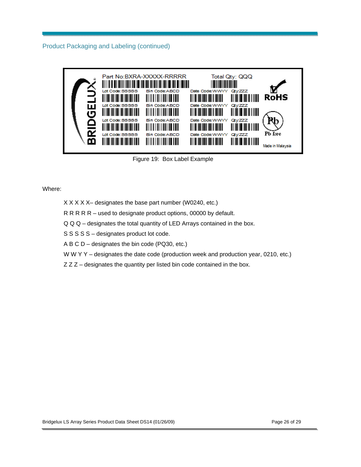Product Packaging and Labeling (continued)



Figure 19: Box Label Example

Where:

- X X X X X– designates the base part number (W0240, etc.)
- R R R R R used to designate product options, 00000 by default.
- Q Q Q designates the total quantity of LED Arrays contained in the box.
- S S S S S designates product lot code.
- A B C D designates the bin code (PQ30, etc.)
- W W Y Y designates the date code (production week and production year, 0210, etc.)
- Z Z Z designates the quantity per listed bin code contained in the box.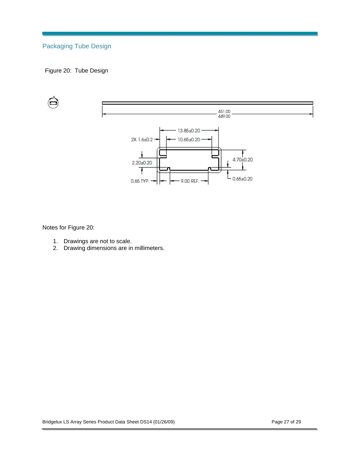## Packaging Tube Design

## Figure 20: Tube Design



Notes for Figure 20:

- 1. Drawings are not to scale.
- 2. Drawing dimensions are in millimeters.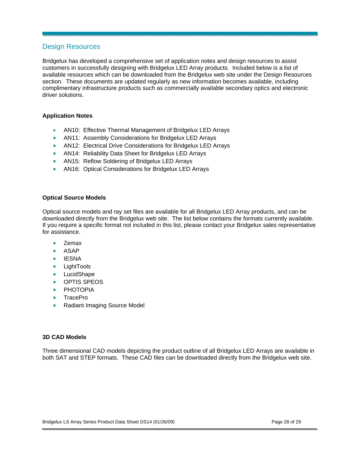## Design Resources

Bridgelux has developed a comprehensive set of application notes and design resources to assist customers in successfully designing with Bridgelux LED Array products. Included below is a list of available resources which can be downloaded from the Bridgelux web site under the Design Resources section. These documents are updated regularly as new information becomes available, including complimentary infrastructure products such as commercially available secondary optics and electronic driver solutions.

#### **Application Notes**

- AN10: Effective Thermal Management of Bridgelux LED Arrays
- AN11: Assembly Considerations for Bridgelux LED Arrays
- AN12: Electrical Drive Considerations for Bridgelux LED Arrays
- AN14: Reliability Data Sheet for Bridgelux LED Arrays
- AN15: Reflow Soldering of Bridgelux LED Arrays
- AN16: Optical Considerations for Bridgelux LED Arrays

#### **Optical Source Models**

Optical source models and ray set files are available for all Bridgelux LED Array products, and can be downloaded directly from the Bridgelux web site. The list below contains the formats currently available. If you require a specific format not included in this list, please contact your Bridgelux sales representative for assistance.

- Zemax
- ASAP
- **IESNA**
- **LightTools**
- LucidShape
- OPTIS SPEOS
- **PHOTOPIA**
- TracePro
- Radiant Imaging Source Model

### **3D CAD Models**

Three dimensional CAD models depicting the product outline of all Bridgelux LED Arrays are available in both SAT and STEP formats. These CAD files can be downloaded directly from the Bridgelux web site.